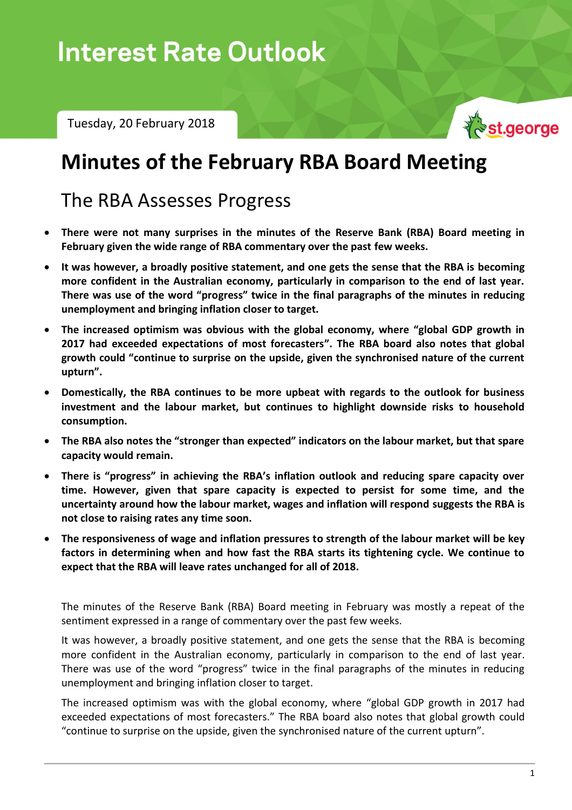# **Interest Rate Outlook**

Tuesday, 20 February 2018



## **Minutes of the February RBA Board Meeting**

## The RBA Assesses Progress

- **There were not many surprises in the minutes of the Reserve Bank (RBA) Board meeting in February given the wide range of RBA commentary over the past few weeks.**
- **It was however, a broadly positive statement, and one gets the sense that the RBA is becoming more confident in the Australian economy, particularly in comparison to the end of last year. There was use of the word "progress" twice in the final paragraphs of the minutes in reducing unemployment and bringing inflation closer to target.**
- **The increased optimism was obvious with the global economy, where "global GDP growth in 2017 had exceeded expectations of most forecasters". The RBA board also notes that global growth could "continue to surprise on the upside, given the synchronised nature of the current upturn".**
- **Domestically, the RBA continues to be more upbeat with regards to the outlook for business investment and the labour market, but continues to highlight downside risks to household consumption.**
- **The RBA also notes the "stronger than expected" indicators on the labour market, but that spare capacity would remain.**
- **There is "progress" in achieving the RBA's inflation outlook and reducing spare capacity over time. However, given that spare capacity is expected to persist for some time, and the uncertainty around how the labour market, wages and inflation will respond suggests the RBA is not close to raising rates any time soon.**
- **The responsiveness of wage and inflation pressures to strength of the labour market will be key factors in determining when and how fast the RBA starts its tightening cycle. We continue to expect that the RBA will leave rates unchanged for all of 2018.**

The minutes of the Reserve Bank (RBA) Board meeting in February was mostly a repeat of the sentiment expressed in a range of commentary over the past few weeks.

It was however, a broadly positive statement, and one gets the sense that the RBA is becoming more confident in the Australian economy, particularly in comparison to the end of last year. There was use of the word "progress" twice in the final paragraphs of the minutes in reducing unemployment and bringing inflation closer to target.

The increased optimism was with the global economy, where "global GDP growth in 2017 had exceeded expectations of most forecasters." The RBA board also notes that global growth could "continue to surprise on the upside, given the synchronised nature of the current upturn".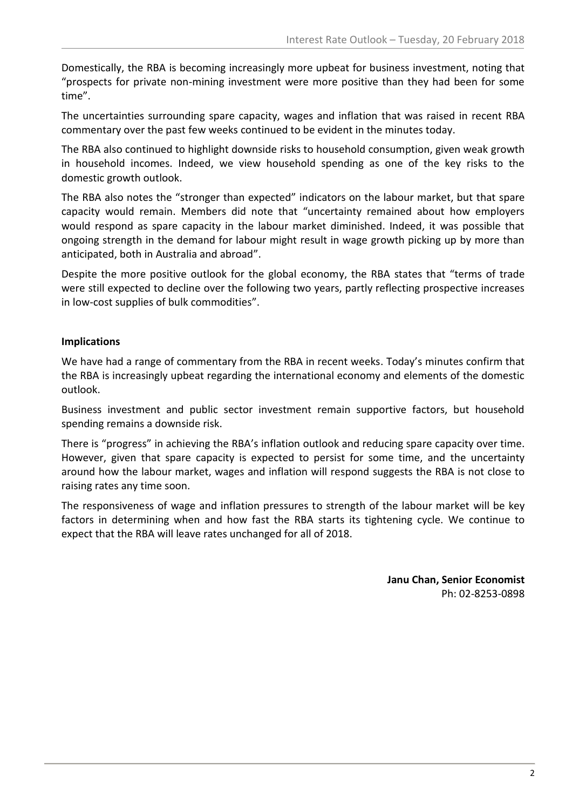Domestically, the RBA is becoming increasingly more upbeat for business investment, noting that "prospects for private non-mining investment were more positive than they had been for some time".

The uncertainties surrounding spare capacity, wages and inflation that was raised in recent RBA commentary over the past few weeks continued to be evident in the minutes today.

The RBA also continued to highlight downside risks to household consumption, given weak growth in household incomes. Indeed, we view household spending as one of the key risks to the domestic growth outlook.

The RBA also notes the "stronger than expected" indicators on the labour market, but that spare capacity would remain. Members did note that "uncertainty remained about how employers would respond as spare capacity in the labour market diminished. Indeed, it was possible that ongoing strength in the demand for labour might result in wage growth picking up by more than anticipated, both in Australia and abroad".

Despite the more positive outlook for the global economy, the RBA states that "terms of trade were still expected to decline over the following two years, partly reflecting prospective increases in low-cost supplies of bulk commodities".

### **Implications**

We have had a range of commentary from the RBA in recent weeks. Today's minutes confirm that the RBA is increasingly upbeat regarding the international economy and elements of the domestic outlook.

Business investment and public sector investment remain supportive factors, but household spending remains a downside risk.

There is "progress" in achieving the RBA's inflation outlook and reducing spare capacity over time. However, given that spare capacity is expected to persist for some time, and the uncertainty around how the labour market, wages and inflation will respond suggests the RBA is not close to raising rates any time soon.

The responsiveness of wage and inflation pressures to strength of the labour market will be key factors in determining when and how fast the RBA starts its tightening cycle. We continue to expect that the RBA will leave rates unchanged for all of 2018.

> **Janu Chan, Senior Economist** Ph: 02-8253-0898